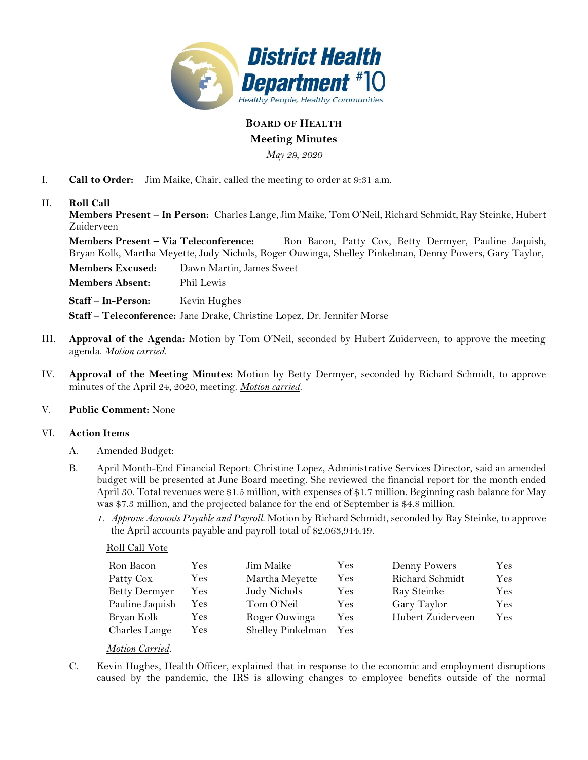

**BOARD OF HEALTH**

**Meeting Minutes**

*May 29, 2020*

I. **Call to Order:** Jim Maike, Chair, called the meeting to order at 9:31 a.m.

# II. **Roll Call**

**Members Present – In Person:** Charles Lange,Jim Maike, Tom O'Neil, Richard Schmidt, Ray Steinke, Hubert Zuiderveen

**Members Present – Via Teleconference:** Ron Bacon, Patty Cox, Betty Dermyer, Pauline Jaquish, Bryan Kolk, Martha Meyette, Judy Nichols, Roger Ouwinga, Shelley Pinkelman, Denny Powers, Gary Taylor,

**Members Excused:** Dawn Martin, James Sweet

**Members Absent:** Phil Lewis

**Staff – In-Person:** Kevin Hughes

**Staff – Teleconference:** Jane Drake, Christine Lopez, Dr. Jennifer Morse

- III. **Approval of the Agenda:** Motion by Tom O'Neil, seconded by Hubert Zuiderveen, to approve the meeting agenda. *Motion carried.*
- IV. **Approval of the Meeting Minutes:** Motion by Betty Dermyer, seconded by Richard Schmidt, to approve minutes of the April 24, 2020, meeting. *Motion carried.*

### V. **Public Comment:** None

### VI. **Action Items**

- A. Amended Budget:
- B. April Month-End Financial Report: Christine Lopez, Administrative Services Director, said an amended budget will be presented at June Board meeting. She reviewed the financial report for the month ended April 30. Total revenues were \$1.5 million, with expenses of \$1.7 million. Beginning cash balance for May was \$7.3 million, and the projected balance for the end of September is \$4.8 million.
	- *1. Approve Accounts Payable and Payroll.* Motion by Richard Schmidt, seconded by Ray Steinke, to approve the April accounts payable and payroll total of \$2,063,944.49.

### Roll Call Vote

| Ron Bacon            | Yes        | Jim Maike         | Yes       | Denny Powers      | Yes.       |
|----------------------|------------|-------------------|-----------|-------------------|------------|
| Patty Cox            | <b>Yes</b> | Martha Meyette    | $\rm Yes$ | Richard Schmidt   | Yes        |
| <b>Betty Dermyer</b> | Yes.       | Judy Nichols      | Yes       | Ray Steinke       | Yes        |
| Pauline Jaquish      | <b>Yes</b> | Tom O'Neil        | Yes       | Gary Taylor       | <b>Yes</b> |
| Bryan Kolk           | Y es       | Roger Ouwinga     | Yes.      | Hubert Zuiderveen | Yes.       |
| Charles Lange        | Yes        | Shelley Pinkelman | Yes       |                   |            |

### *Motion Carried.*

C. Kevin Hughes, Health Officer, explained that in response to the economic and employment disruptions caused by the pandemic, the IRS is allowing changes to employee benefits outside of the normal